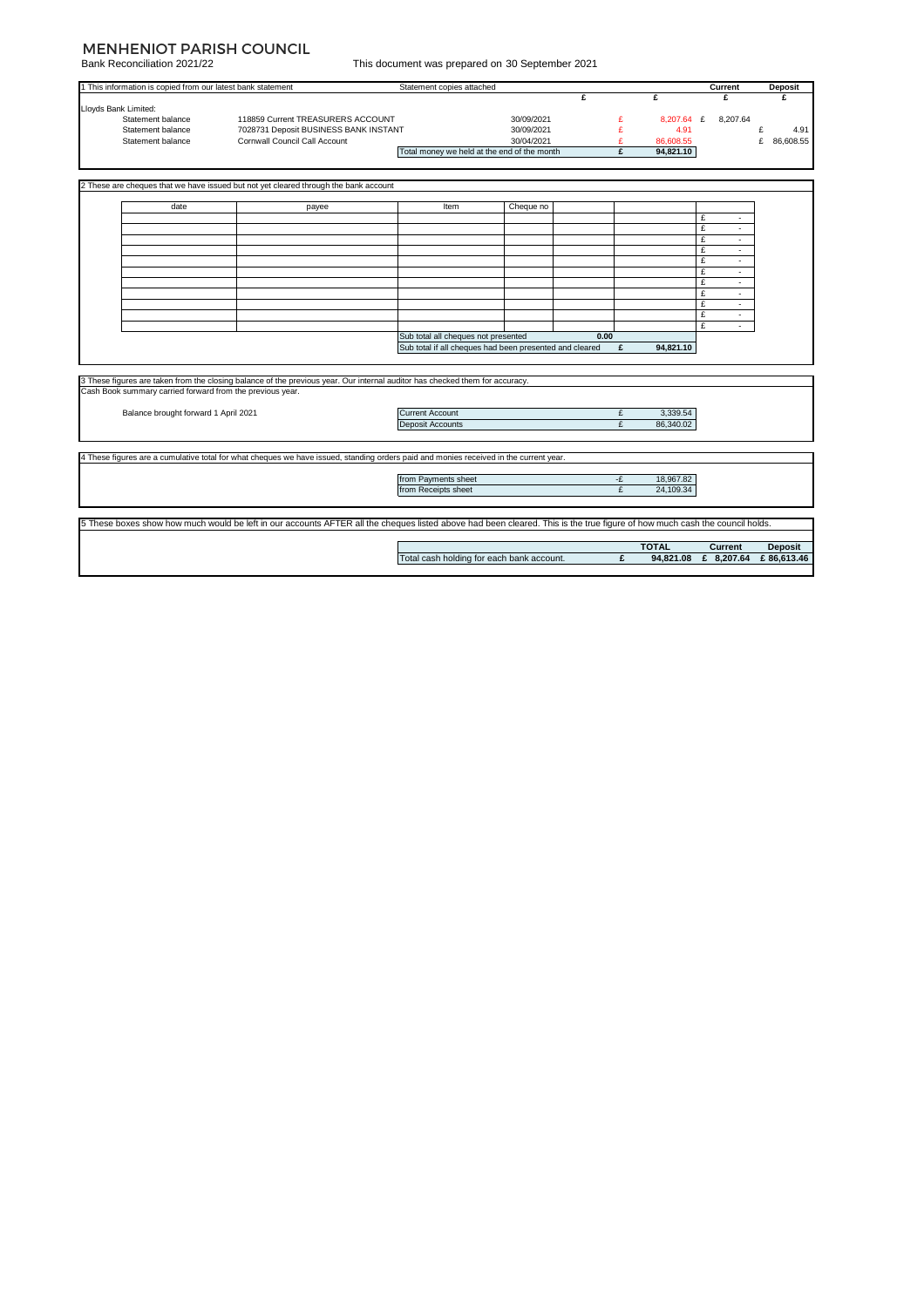## MENHENIOT PARISH COUNCIL

Bank Reconciliation 2021/22

|  |  |  | This document was prepared on 30 September 2021 |  |
|--|--|--|-------------------------------------------------|--|
|  |  |  |                                                 |  |

| <u>Darin Necorigiliation ZUZ 1/22</u>                                                                                                                                      |                                                                                                                                       | This document was prepared on 50 September 2021 |                          |           |                   |                      |                             |
|----------------------------------------------------------------------------------------------------------------------------------------------------------------------------|---------------------------------------------------------------------------------------------------------------------------------------|-------------------------------------------------|--------------------------|-----------|-------------------|----------------------|-----------------------------|
| 1 This information is copied from our latest bank statement                                                                                                                |                                                                                                                                       | Statement copies attached                       |                          |           |                   | Current              | <b>Deposit</b>              |
|                                                                                                                                                                            |                                                                                                                                       |                                                 |                          | £         | £                 | £                    | £                           |
| Lloyds Bank Limited:                                                                                                                                                       |                                                                                                                                       |                                                 |                          |           |                   |                      |                             |
| Statement balance                                                                                                                                                          | 118859 Current TREASURERS ACCOUNT                                                                                                     |                                                 | 30/09/2021               | £         |                   | 8,207.64 £ 8,207.64  |                             |
| Statement balance<br>Statement balance                                                                                                                                     | 7028731 Deposit BUSINESS BANK INSTANT<br>Cornwall Council Call Account                                                                |                                                 | 30/09/2021<br>30/04/2021 | £<br>£    | 4.91<br>86,608.55 |                      | £<br>4.91<br>£<br>86,608.55 |
|                                                                                                                                                                            |                                                                                                                                       | Total money we held at the end of the month     |                          | £         | 94,821.10         |                      |                             |
|                                                                                                                                                                            |                                                                                                                                       |                                                 |                          |           |                   |                      |                             |
|                                                                                                                                                                            |                                                                                                                                       |                                                 |                          |           |                   |                      |                             |
|                                                                                                                                                                            | 2 These are cheques that we have issued but not yet cleared through the bank account                                                  |                                                 |                          |           |                   |                      |                             |
|                                                                                                                                                                            |                                                                                                                                       |                                                 |                          |           |                   |                      |                             |
| date                                                                                                                                                                       | payee                                                                                                                                 | Item                                            | Cheque no                |           |                   |                      |                             |
|                                                                                                                                                                            |                                                                                                                                       |                                                 |                          |           |                   | £<br>٠               |                             |
|                                                                                                                                                                            |                                                                                                                                       |                                                 |                          |           |                   | £<br>×.              |                             |
|                                                                                                                                                                            |                                                                                                                                       |                                                 |                          |           |                   | £<br>$\sim$          |                             |
|                                                                                                                                                                            |                                                                                                                                       |                                                 |                          |           |                   | £<br>٠               |                             |
|                                                                                                                                                                            |                                                                                                                                       |                                                 |                          |           |                   | £<br>$\sim$          |                             |
|                                                                                                                                                                            |                                                                                                                                       |                                                 |                          |           |                   | £<br>×.              |                             |
|                                                                                                                                                                            |                                                                                                                                       |                                                 |                          |           |                   | £<br>×.              |                             |
|                                                                                                                                                                            |                                                                                                                                       |                                                 |                          |           |                   | £<br>×.              |                             |
|                                                                                                                                                                            |                                                                                                                                       |                                                 |                          |           |                   | £<br>$\sim$          |                             |
|                                                                                                                                                                            |                                                                                                                                       |                                                 |                          |           |                   | £<br>$\sim$<br>£     |                             |
|                                                                                                                                                                            |                                                                                                                                       |                                                 |                          |           |                   |                      |                             |
|                                                                                                                                                                            | Sub total all cheques not presented<br>0.00<br>Sub total if all cheques had been presented and cleared<br>94.821.10<br>£              |                                                 |                          |           |                   |                      |                             |
|                                                                                                                                                                            |                                                                                                                                       |                                                 |                          |           |                   |                      |                             |
|                                                                                                                                                                            |                                                                                                                                       |                                                 |                          |           |                   |                      |                             |
|                                                                                                                                                                            | 3 These figures are taken from the closing balance of the previous year. Our internal auditor has checked them for accuracy.          |                                                 |                          |           |                   |                      |                             |
| Cash Book summary carried forward from the previous year.                                                                                                                  |                                                                                                                                       |                                                 |                          |           |                   |                      |                             |
|                                                                                                                                                                            |                                                                                                                                       |                                                 |                          |           |                   |                      |                             |
| Balance brought forward 1 April 2021                                                                                                                                       | <b>Current Account</b>                                                                                                                |                                                 | £                        | 3,339.54  |                   |                      |                             |
|                                                                                                                                                                            | Deposit Accounts                                                                                                                      |                                                 | £                        | 86.340.02 |                   |                      |                             |
|                                                                                                                                                                            |                                                                                                                                       |                                                 |                          |           |                   |                      |                             |
|                                                                                                                                                                            |                                                                                                                                       |                                                 |                          |           |                   |                      |                             |
|                                                                                                                                                                            | 4 These figures are a cumulative total for what cheques we have issued, standing orders paid and monies received in the current year. |                                                 |                          |           |                   |                      |                             |
|                                                                                                                                                                            |                                                                                                                                       |                                                 |                          | -£        | 18,967.82         |                      |                             |
|                                                                                                                                                                            |                                                                                                                                       | from Payments sheet<br>from Receipts sheet      |                          | £         | 24,109.34         |                      |                             |
|                                                                                                                                                                            |                                                                                                                                       |                                                 |                          |           |                   |                      |                             |
|                                                                                                                                                                            |                                                                                                                                       |                                                 |                          |           |                   |                      |                             |
| 5 These boxes show how much would be left in our accounts AFTER all the cheques listed above had been cleared. This is the true figure of how much cash the council holds. |                                                                                                                                       |                                                 |                          |           |                   |                      |                             |
|                                                                                                                                                                            |                                                                                                                                       |                                                 |                          |           |                   |                      |                             |
|                                                                                                                                                                            |                                                                                                                                       |                                                 |                          |           | <b>TOTAL</b>      | Current              | Deposit                     |
|                                                                                                                                                                            |                                                                                                                                       | Total cash holding for each bank account.       |                          | £         |                   | 94,821.08 £ 8,207.64 | £86,613.46                  |
|                                                                                                                                                                            |                                                                                                                                       |                                                 |                          |           |                   |                      |                             |